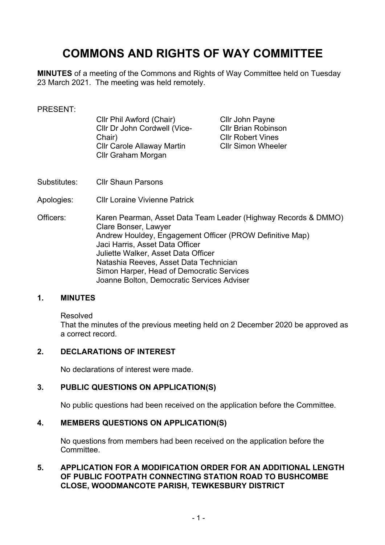# **COMMONS AND RIGHTS OF WAY COMMITTEE**

**MINUTES** of a meeting of the Commons and Rights of Way Committee held on Tuesday 23 March 2021. The meeting was held remotely.

#### PRESENT:

| Cllr Phil Awford (Chair)          |
|-----------------------------------|
| Cllr Dr John Cordwell (Vice-      |
| Chair)                            |
| <b>CIIr Carole Allaway Martin</b> |
| Cllr Graham Morgan                |

Cllr John Payne Cllr Brian Robinson Cllr Robert Vines Cllr Simon Wheeler

- Substitutes: Cllr Shaun Parsons
- Apologies: Cllr Loraine Vivienne Patrick
- Officers: Karen Pearman, Asset Data Team Leader (Highway Records & DMMO) Clare Bonser, Lawyer Andrew Houldey, Engagement Officer (PROW Definitive Map) Jaci Harris, Asset Data Officer Juliette Walker, Asset Data Officer Natashia Reeves, Asset Data Technician Simon Harper, Head of Democratic Services Joanne Bolton, Democratic Services Adviser

#### **1. MINUTES**

Resolved

That the minutes of the previous meeting held on 2 December 2020 be approved as a correct record.

### **2. DECLARATIONS OF INTEREST**

No declarations of interest were made.

### **3. PUBLIC QUESTIONS ON APPLICATION(S)**

No public questions had been received on the application before the Committee.

### **4. MEMBERS QUESTIONS ON APPLICATION(S)**

No questions from members had been received on the application before the Committee.

### **5. APPLICATION FOR A MODIFICATION ORDER FOR AN ADDITIONAL LENGTH OF PUBLIC FOOTPATH CONNECTING STATION ROAD TO BUSHCOMBE CLOSE, WOODMANCOTE PARISH, TEWKESBURY DISTRICT**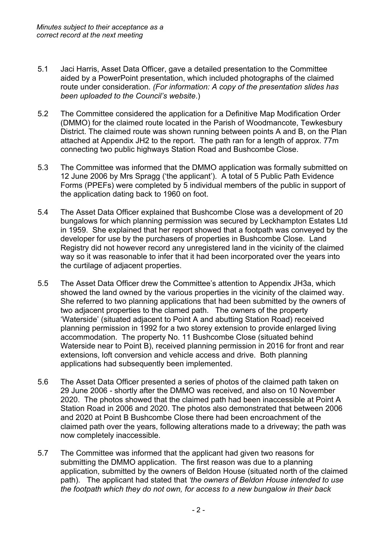- 5.1 Jaci Harris, Asset Data Officer, gave a detailed presentation to the Committee aided by a PowerPoint presentation, which included photographs of the claimed route under consideration. *(For information: A copy of the presentation slides has been uploaded to the Council's website*.)
- 5.2 The Committee considered the application for a Definitive Map Modification Order (DMMO) for the claimed route located in the Parish of Woodmancote, Tewkesbury District. The claimed route was shown running between points A and B, on the Plan attached at Appendix JH2 to the report. The path ran for a length of approx. 77m connecting two public highways Station Road and Bushcombe Close.
- 5.3 The Committee was informed that the DMMO application was formally submitted on 12 June 2006 by Mrs Spragg ('the applicant'). A total of 5 Public Path Evidence Forms (PPEFs) were completed by 5 individual members of the public in support of the application dating back to 1960 on foot.
- 5.4 The Asset Data Officer explained that Bushcombe Close was a development of 20 bungalows for which planning permission was secured by Leckhampton Estates Ltd in 1959. She explained that her report showed that a footpath was conveyed by the developer for use by the purchasers of properties in Bushcombe Close. Land Registry did not however record any unregistered land in the vicinity of the claimed way so it was reasonable to infer that it had been incorporated over the years into the curtilage of adjacent properties.
- 5.5 The Asset Data Officer drew the Committee's attention to Appendix JH3a, which showed the land owned by the various properties in the vicinity of the claimed way. She referred to two planning applications that had been submitted by the owners of two adjacent properties to the clamed path. The owners of the property 'Waterside' (situated adjacent to Point A and abutting Station Road) received planning permission in 1992 for a two storey extension to provide enlarged living accommodation. The property No. 11 Bushcombe Close (situated behind Waterside near to Point B), received planning permission in 2016 for front and rear extensions, loft conversion and vehicle access and drive. Both planning applications had subsequently been implemented.
- 5.6 The Asset Data Officer presented a series of photos of the claimed path taken on 29 June 2006 - shortly after the DMMO was received, and also on 10 November 2020. The photos showed that the claimed path had been inaccessible at Point A Station Road in 2006 and 2020. The photos also demonstrated that between 2006 and 2020 at Point B Bushcombe Close there had been encroachment of the claimed path over the years, following alterations made to a driveway; the path was now completely inaccessible.
- 5.7 The Committee was informed that the applicant had given two reasons for submitting the DMMO application. The first reason was due to a planning application, submitted by the owners of Beldon House (situated north of the claimed path). The applicant had stated that *'the owners of Beldon House intended to use the footpath which they do not own, for access to a new bungalow in their back*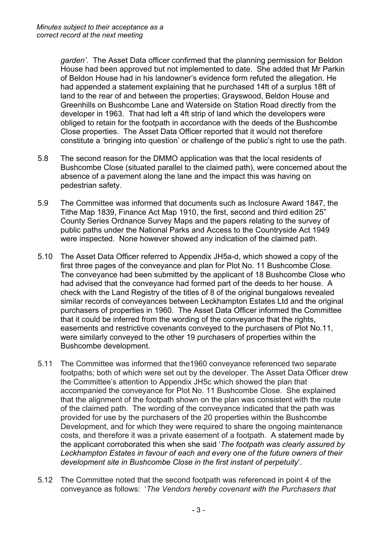*garden'*. The Asset Data officer confirmed that the planning permission for Beldon House had been approved but not implemented to date. She added that Mr Parkin of Beldon House had in his landowner's evidence form refuted the allegation. He had appended a statement explaining that he purchased 14ft of a surplus 18ft of land to the rear of and between the properties; Grayswood, Beldon House and Greenhills on Bushcombe Lane and Waterside on Station Road directly from the developer in 1963. That had left a 4ft strip of land which the developers were obliged to retain for the footpath in accordance with the deeds of the Bushcombe Close properties. The Asset Data Officer reported that it would not therefore constitute a 'bringing into question' or challenge of the public's right to use the path.

- 5.8 The second reason for the DMMO application was that the local residents of Bushcombe Close (situated parallel to the claimed path), were concerned about the absence of a pavement along the lane and the impact this was having on pedestrian safety.
- 5.9 The Committee was informed that documents such as Inclosure Award 1847, the Tithe Map 1839, Finance Act Map 1910, the first, second and third edition 25" County Series Ordnance Survey Maps and the papers relating to the survey of public paths under the National Parks and Access to the Countryside Act 1949 were inspected. None however showed any indication of the claimed path.
- 5.10 The Asset Data Officer referred to Appendix JH5a-d, which showed a copy of the first three pages of the conveyance and plan for Plot No. 11 Bushcombe Close. The conveyance had been submitted by the applicant of 18 Bushcombe Close who had advised that the conveyance had formed part of the deeds to her house. A check with the Land Registry of the titles of 8 of the original bungalows revealed similar records of conveyances between Leckhampton Estates Ltd and the original purchasers of properties in 1960. The Asset Data Officer informed the Committee that it could be inferred from the wording of the conveyance that the rights, easements and restrictive covenants conveyed to the purchasers of Plot No.11, were similarly conveyed to the other 19 purchasers of properties within the Bushcombe development.
- 5.11 The Committee was informed that the1960 conveyance referenced two separate footpaths; both of which were set out by the developer. The Asset Data Officer drew the Committee's attention to Appendix JH5c which showed the plan that accompanied the conveyance for Plot No. 11 Bushcombe Close. She explained that the alignment of the footpath shown on the plan was consistent with the route of the claimed path. The wording of the conveyance indicated that the path was provided for use by the purchasers of the 20 properties within the Bushcombe Development, and for which they were required to share the ongoing maintenance costs, and therefore it was a private easement of a footpath. A statement made by the applicant corroborated this when she said '*The footpath was clearly assured by Leckhampton Estates in favour of each and every one of the future owners of their development site in Bushcombe Close in the first instant of perpetuity*'.
- 5.12 The Committee noted that the second footpath was referenced in point 4 of the conveyance as follows: '*The Vendors hereby covenant with the Purchasers that*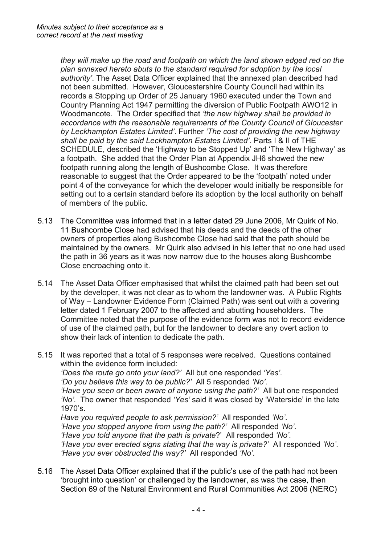*they will make up the road and footpath on which the land shown edged red on the plan annexed hereto abuts to the standard required for adoption by the local authority'*. The Asset Data Officer explained that the annexed plan described had not been submitted. However, Gloucestershire County Council had within its records a Stopping up Order of 25 January 1960 executed under the Town and Country Planning Act 1947 permitting the diversion of Public Footpath AWO12 in Woodmancote. The Order specified that *'the new highway shall be provided in accordance with the reasonable requirements of the County Council of Gloucester by Leckhampton Estates Limited'*. Further *'The cost of providing the new highway shall be paid by the said Leckhampton Estates Limited'*. Parts I & II of THE SCHEDULE, described the 'Highway to be Stopped Up' and 'The New Highway' as a footpath*.* She added that the Order Plan at Appendix JH6 showed the new footpath running along the length of Bushcombe Close. It was therefore reasonable to suggest that the Order appeared to be the 'footpath' noted under point 4 of the conveyance for which the developer would initially be responsible for setting out to a certain standard before its adoption by the local authority on behalf of members of the public.

- 5.13 The Committee was informed that in a letter dated 29 June 2006, Mr Quirk of No. 11 Bushcombe Close had advised that his deeds and the deeds of the other owners of properties along Bushcombe Close had said that the path should be maintained by the owners. Mr Quirk also advised in his letter that no one had used the path in 36 years as it was now narrow due to the houses along Bushcombe Close encroaching onto it.
- 5.14 The Asset Data Officer emphasised that whilst the claimed path had been set out by the developer, it was not clear as to whom the landowner was. A Public Rights of Way – Landowner Evidence Form (Claimed Path) was sent out with a covering letter dated 1 February 2007 to the affected and abutting householders. The Committee noted that the purpose of the evidence form was not to record evidence of use of the claimed path, but for the landowner to declare any overt action to show their lack of intention to dedicate the path.
- 5.15 It was reported that a total of 5 responses were received. Questions contained within the evidence form included: *'Does the route go onto your land?'* All but one responded *'Yes'*. *'Do you believe this way to be public?'* All 5 responded *'No'*. *'Have you seen or been aware of anyone using the path?'* All but one responded *'No'.* The owner that responded *'Yes'* said it was closed by 'Waterside' in the late 1970's. *Have you required people to ask permission?'* All responded *'No'*. *'Have you stopped anyone from using the path?'* All responded *'No'*. *'Have you told anyone that the path is private*?' All responded *'No'. 'Have you ever erected signs stating that the way is private?'* All responded *'No'*. *'Have you ever obstructed the way?'* All responded *'No'.*
- 5.16 The Asset Data Officer explained that if the public's use of the path had not been 'brought into question' or challenged by the landowner, as was the case, then Section 69 of the Natural Environment and Rural Communities Act 2006 (NERC)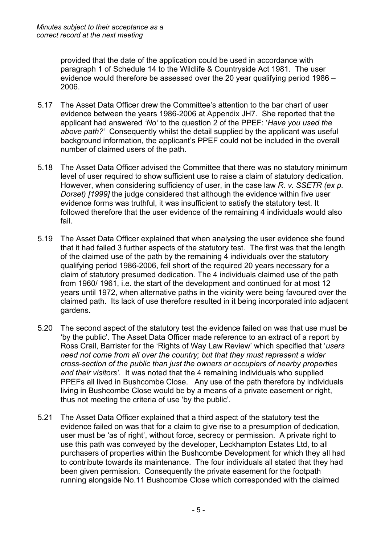provided that the date of the application could be used in accordance with paragraph 1 of Schedule 14 to the Wildlife & Countryside Act 1981. The user evidence would therefore be assessed over the 20 year qualifying period 1986 – 2006.

- 5.17 The Asset Data Officer drew the Committee's attention to the bar chart of user evidence between the years 1986-2006 at Appendix JH7. She reported that the applicant had answered *'No'* to the question 2 of the PPEF: '*Have you used the above path?'* Consequently whilst the detail supplied by the applicant was useful background information, the applicant's PPEF could not be included in the overall number of claimed users of the path.
- 5.18 The Asset Data Officer advised the Committee that there was no statutory minimum level of user required to show sufficient use to raise a claim of statutory dedication. However, when considering sufficiency of user, in the case law *R. v. SSETR (ex p. Dorset) [1999]* the judge considered that although the evidence within five user evidence forms was truthful, it was insufficient to satisfy the statutory test. It followed therefore that the user evidence of the remaining 4 individuals would also fail.
- 5.19 The Asset Data Officer explained that when analysing the user evidence she found that it had failed 3 further aspects of the statutory test. The first was that the length of the claimed use of the path by the remaining 4 individuals over the statutory qualifying period 1986-2006, fell short of the required 20 years necessary for a claim of statutory presumed dedication. The 4 individuals claimed use of the path from 1960/ 1961, i.e. the start of the development and continued for at most 12 years until 1972, when alternative paths in the vicinity were being favoured over the claimed path. Its lack of use therefore resulted in it being incorporated into adjacent gardens.
- 5.20 The second aspect of the statutory test the evidence failed on was that use must be 'by the public'. The Asset Data Officer made reference to an extract of a report by Ross Crail, Barrister for the 'Rights of Way Law Review' which specified that '*users need not come from all over the country; but that they must represent a wider cross-section of the public than just the owners or occupiers of nearby properties and their visitors'.* It was noted that the 4 remaining individuals who supplied PPEFs all lived in Bushcombe Close. Any use of the path therefore by individuals living in Bushcombe Close would be by a means of a private easement or right, thus not meeting the criteria of use 'by the public'.
- 5.21 The Asset Data Officer explained that a third aspect of the statutory test the evidence failed on was that for a claim to give rise to a presumption of dedication, user must be 'as of right', without force, secrecy or permission. A private right to use this path was conveyed by the developer, Leckhampton Estates Ltd, to all purchasers of properties within the Bushcombe Development for which they all had to contribute towards its maintenance. The four individuals all stated that they had been given permission. Consequently the private easement for the footpath running alongside No.11 Bushcombe Close which corresponded with the claimed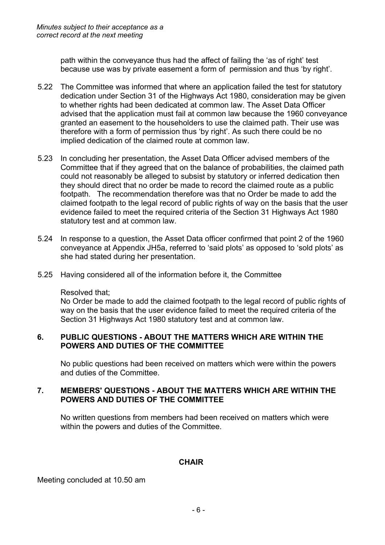path within the conveyance thus had the affect of failing the 'as of right' test because use was by private easement a form of permission and thus 'by right'.

- 5.22 The Committee was informed that where an application failed the test for statutory dedication under Section 31 of the Highways Act 1980, consideration may be given to whether rights had been dedicated at common law. The Asset Data Officer advised that the application must fail at common law because the 1960 conveyance granted an easement to the householders to use the claimed path. Their use was therefore with a form of permission thus 'by right'. As such there could be no implied dedication of the claimed route at common law.
- 5.23 In concluding her presentation, the Asset Data Officer advised members of the Committee that if they agreed that on the balance of probabilities, the claimed path could not reasonably be alleged to subsist by statutory or inferred dedication then they should direct that no order be made to record the claimed route as a public footpath. The recommendation therefore was that no Order be made to add the claimed footpath to the legal record of public rights of way on the basis that the user evidence failed to meet the required criteria of the Section 31 Highways Act 1980 statutory test and at common law.
- 5.24 In response to a question, the Asset Data officer confirmed that point 2 of the 1960 conveyance at Appendix JH5a, referred to 'said plots' as opposed to 'sold plots' as she had stated during her presentation.
- 5.25 Having considered all of the information before it, the Committee

### Resolved that;

No Order be made to add the claimed footpath to the legal record of public rights of way on the basis that the user evidence failed to meet the required criteria of the Section 31 Highways Act 1980 statutory test and at common law.

## **6. PUBLIC QUESTIONS - ABOUT THE MATTERS WHICH ARE WITHIN THE POWERS AND DUTIES OF THE COMMITTEE**

No public questions had been received on matters which were within the powers and duties of the Committee.

### **7. MEMBERS' QUESTIONS - ABOUT THE MATTERS WHICH ARE WITHIN THE POWERS AND DUTIES OF THE COMMITTEE**

No written questions from members had been received on matters which were within the powers and duties of the Committee.

### **CHAIR**

Meeting concluded at 10.50 am